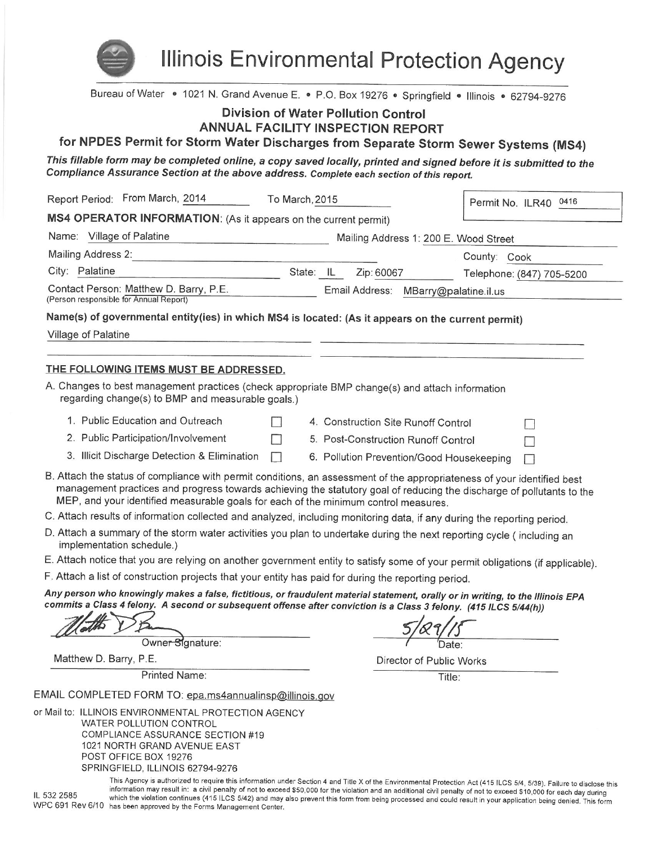

**Illinois Environmental Protection Agency** 

Bureau of Water • 1021 N. Grand Avenue E. • P.O. Box 19276 • Springfield • Illinois • 62794-9276

# **Division of Water Pollution Control**

ANNUAL FACILITY INSPECTION REPORT

for NPDES Permit for Storm Water Discharges from Separate Storm Sewer Systems (MS4)

This fillable form may be completed online, a copy saved locally, printed and signed before it is submitted to the Compliance Assurance Section at the above address. Complete each section of this report.

| Report Period: From March, 2014<br>To March, 2015                                                                                                                                                                                                                                                                                                                                               |        |           |                                     |                                           | Permit No. ILR40 0416     |  |
|-------------------------------------------------------------------------------------------------------------------------------------------------------------------------------------------------------------------------------------------------------------------------------------------------------------------------------------------------------------------------------------------------|--------|-----------|-------------------------------------|-------------------------------------------|---------------------------|--|
| MS4 OPERATOR INFORMATION: (As it appears on the current permit)                                                                                                                                                                                                                                                                                                                                 |        |           |                                     |                                           |                           |  |
| Name: Village of Palatine<br>Mailing Address 1: 200 E. Wood Street                                                                                                                                                                                                                                                                                                                              |        |           |                                     |                                           |                           |  |
| Mailing Address 2:                                                                                                                                                                                                                                                                                                                                                                              |        |           |                                     | County: Cook                              |                           |  |
| City: Palatine                                                                                                                                                                                                                                                                                                                                                                                  |        | State: IL | Zip: 60067                          |                                           | Telephone: (847) 705-5200 |  |
| Contact Person: Matthew D. Barry, P.E.<br>(Person responsible for Annual Report)                                                                                                                                                                                                                                                                                                                |        |           |                                     | Email Address: MBarry@palatine.il.us      |                           |  |
| Name(s) of governmental entity(ies) in which MS4 is located: (As it appears on the current permit)                                                                                                                                                                                                                                                                                              |        |           |                                     |                                           |                           |  |
| Village of Palatine                                                                                                                                                                                                                                                                                                                                                                             |        |           |                                     |                                           |                           |  |
|                                                                                                                                                                                                                                                                                                                                                                                                 |        |           |                                     |                                           |                           |  |
| THE FOLLOWING ITEMS MUST BE ADDRESSED.                                                                                                                                                                                                                                                                                                                                                          |        |           |                                     |                                           |                           |  |
| A. Changes to best management practices (check appropriate BMP change(s) and attach information<br>regarding change(s) to BMP and measurable goals.)                                                                                                                                                                                                                                            |        |           |                                     |                                           |                           |  |
| 1. Public Education and Outreach                                                                                                                                                                                                                                                                                                                                                                |        |           | 4. Construction Site Runoff Control |                                           |                           |  |
| 2. Public Participation/Involvement                                                                                                                                                                                                                                                                                                                                                             |        |           | 5. Post-Construction Runoff Control |                                           |                           |  |
| 3. Illicit Discharge Detection & Elimination                                                                                                                                                                                                                                                                                                                                                    | $\Box$ |           |                                     | 6. Pollution Prevention/Good Housekeeping |                           |  |
| MEP, and your identified measurable goals for each of the minimum control measures.<br>C. Attach results of information collected and analyzed, including monitoring data, if any during the reporting period.<br>D. Attach a summary of the storm water activities you plan to undertake during the next reporting cycle (including an                                                         |        |           |                                     |                                           |                           |  |
| implementation schedule.)                                                                                                                                                                                                                                                                                                                                                                       |        |           |                                     |                                           |                           |  |
| E. Attach notice that you are relying on another government entity to satisfy some of your permit obligations (if applicable).                                                                                                                                                                                                                                                                  |        |           |                                     |                                           |                           |  |
| F. Attach a list of construction projects that your entity has paid for during the reporting period.                                                                                                                                                                                                                                                                                            |        |           |                                     |                                           |                           |  |
| Any person who knowingly makes a false, fictitious, or fraudulent material statement, orally or in writing, to the Illinois EPA<br>commits a Class 4 felony. A second or subsequent offense after conviction is a Class 3 felony. (415 ILCS 5/44(h))                                                                                                                                            |        |           |                                     |                                           |                           |  |
| Owner Signature:                                                                                                                                                                                                                                                                                                                                                                                |        |           |                                     |                                           |                           |  |
| Matthew D. Barry, P.E.                                                                                                                                                                                                                                                                                                                                                                          |        |           |                                     | Director of Public Works                  |                           |  |
| <b>Printed Name:</b>                                                                                                                                                                                                                                                                                                                                                                            |        |           |                                     | Title:                                    |                           |  |
| EMAIL COMPLETED FORM TO: epa.ms4annualinsp@illinois.gov                                                                                                                                                                                                                                                                                                                                         |        |           |                                     |                                           |                           |  |
| or Mail to: ILLINOIS ENVIRONMENTAL PROTECTION AGENCY<br><b>WATER POLLUTION CONTROL</b><br>COMPLIANCE ASSURANCE SECTION #19<br>1021 NORTH GRAND AVENUE EAST<br>POST OFFICE BOX 19276<br>SPRINGFIELD, ILLINOIS 62794-9276<br>This Agency is authorized to require this information under Section 4 and Title X of the Environmental Protection Act (415 ILCS 5/4, 5/39). Failure to disclose this |        |           |                                     |                                           |                           |  |

IL 532 2585

information may result in: a civil penalty of not to exceed \$50,000 for the violation and an additional civil penalty of not to exceed \$10,000 for each day during which the violation continues (415 ILCS 5/42) and may also prevent this form from being processed and could result in your application being denied. This form WPC 691 Rev 6/10 has been approved by the Forms Management Center.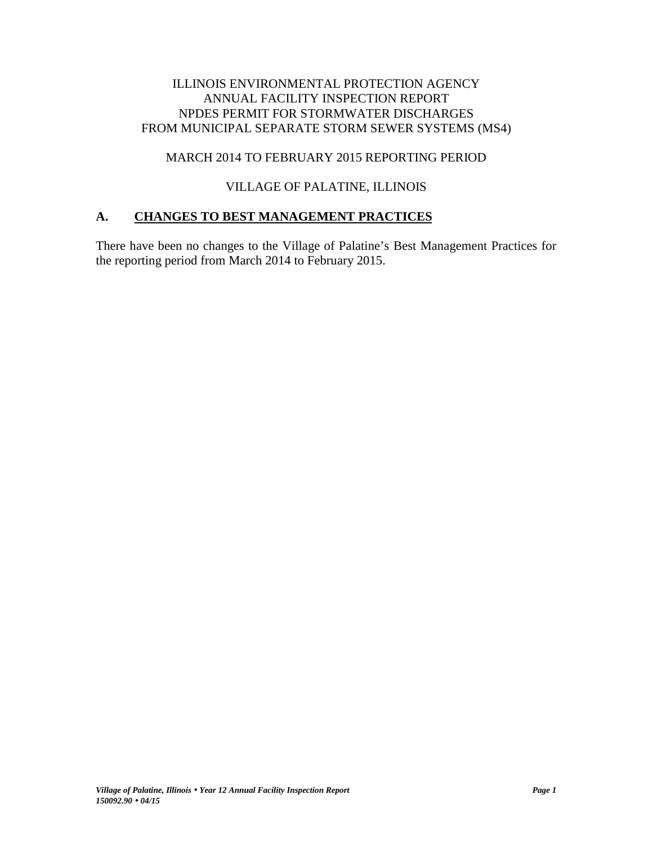# ILLINOIS ENVIRONMENTAL PROTECTION AGENCY ANNUAL FACILITY INSPECTION REPORT NPDES PERMIT FOR STORMWATER DISCHARGES FROM MUNICIPAL SEPARATE STORM SEWER SYSTEMS (MS4)

# MARCH 2014 TO FEBRUARY 2015 REPORTING PERIOD

# VILLAGE OF PALATINE, ILLINOIS

# **A. CHANGES TO BEST MANAGEMENT PRACTICES**

There have been no changes to the Village of Palatine's Best Management Practices for the reporting period from March 2014 to February 2015.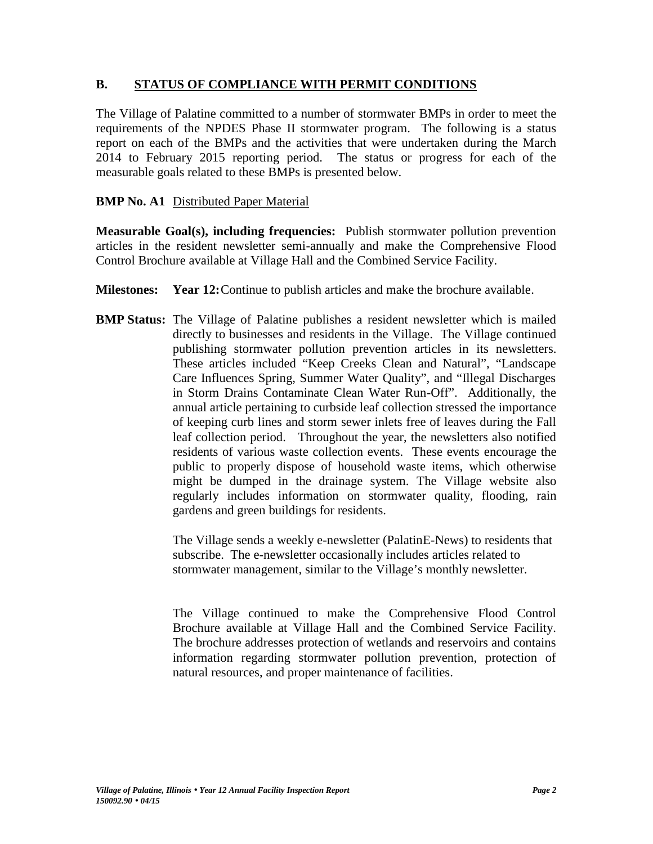# **B. STATUS OF COMPLIANCE WITH PERMIT CONDITIONS**

The Village of Palatine committed to a number of stormwater BMPs in order to meet the requirements of the NPDES Phase II stormwater program. The following is a status report on each of the BMPs and the activities that were undertaken during the March 2014 to February 2015 reporting period. The status or progress for each of the measurable goals related to these BMPs is presented below.

# **BMP No. A1** Distributed Paper Material

**Measurable Goal(s), including frequencies:** Publish stormwater pollution prevention articles in the resident newsletter semi-annually and make the Comprehensive Flood Control Brochure available at Village Hall and the Combined Service Facility.

- **Milestones: Year 12:**Continue to publish articles and make the brochure available.
- **BMP Status:** The Village of Palatine publishes a resident newsletter which is mailed directly to businesses and residents in the Village. The Village continued publishing stormwater pollution prevention articles in its newsletters. These articles included "Keep Creeks Clean and Natural", "Landscape Care Influences Spring, Summer Water Quality", and "Illegal Discharges in Storm Drains Contaminate Clean Water Run-Off". Additionally, the annual article pertaining to curbside leaf collection stressed the importance of keeping curb lines and storm sewer inlets free of leaves during the Fall leaf collection period. Throughout the year, the newsletters also notified residents of various waste collection events. These events encourage the public to properly dispose of household waste items, which otherwise might be dumped in the drainage system. The Village website also regularly includes information on stormwater quality, flooding, rain gardens and green buildings for residents.

The Village sends a weekly e-newsletter (PalatinE-News) to residents that subscribe. The e-newsletter occasionally includes articles related to stormwater management, similar to the Village's monthly newsletter.

The Village continued to make the Comprehensive Flood Control Brochure available at Village Hall and the Combined Service Facility. The brochure addresses protection of wetlands and reservoirs and contains information regarding stormwater pollution prevention, protection of natural resources, and proper maintenance of facilities.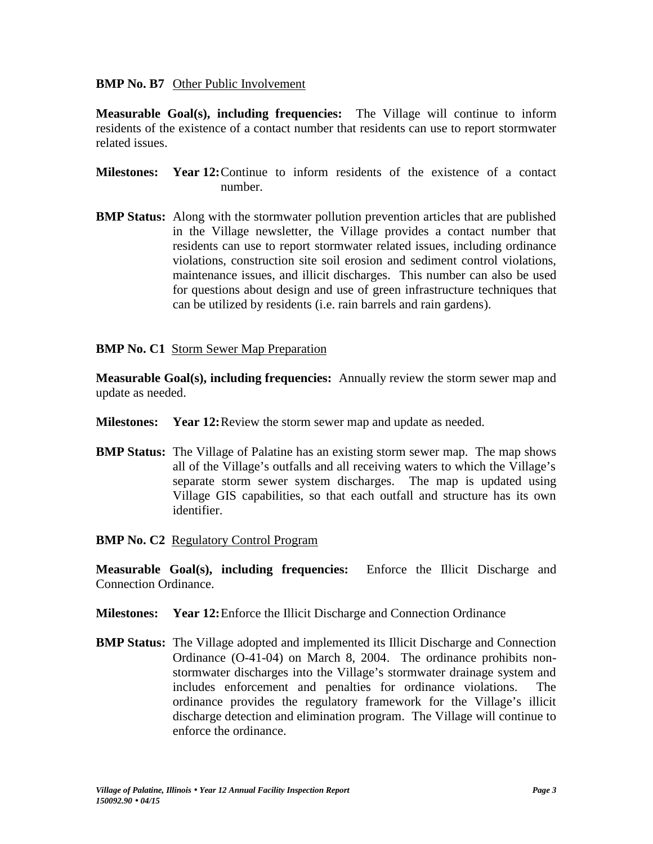#### **BMP No. B7** Other Public Involvement

**Measurable Goal(s), including frequencies:** The Village will continue to inform residents of the existence of a contact number that residents can use to report stormwater related issues.

- **Milestones: Year 12:**Continue to inform residents of the existence of a contact number.
- **BMP Status:** Along with the stormwater pollution prevention articles that are published in the Village newsletter, the Village provides a contact number that residents can use to report stormwater related issues, including ordinance violations, construction site soil erosion and sediment control violations, maintenance issues, and illicit discharges. This number can also be used for questions about design and use of green infrastructure techniques that can be utilized by residents (i.e. rain barrels and rain gardens).

# **BMP No. C1** Storm Sewer Map Preparation

**Measurable Goal(s), including frequencies:** Annually review the storm sewer map and update as needed.

- **Milestones: Year 12:**Review the storm sewer map and update as needed.
- **BMP Status:** The Village of Palatine has an existing storm sewer map. The map shows all of the Village's outfalls and all receiving waters to which the Village's separate storm sewer system discharges. The map is updated using Village GIS capabilities, so that each outfall and structure has its own identifier.

# **BMP No. C2** Regulatory Control Program

**Measurable Goal(s), including frequencies:** Enforce the Illicit Discharge and Connection Ordinance.

- **Milestones: Year 12:**Enforce the Illicit Discharge and Connection Ordinance
- **BMP Status:** The Village adopted and implemented its Illicit Discharge and Connection Ordinance (O-41-04) on March 8, 2004. The ordinance prohibits non stormwater discharges into the Village's stormwater drainage system and includes enforcement and penalties for ordinance violations. The ordinance provides the regulatory framework for the Village's illicit discharge detection and elimination program. The Village will continue to enforce the ordinance.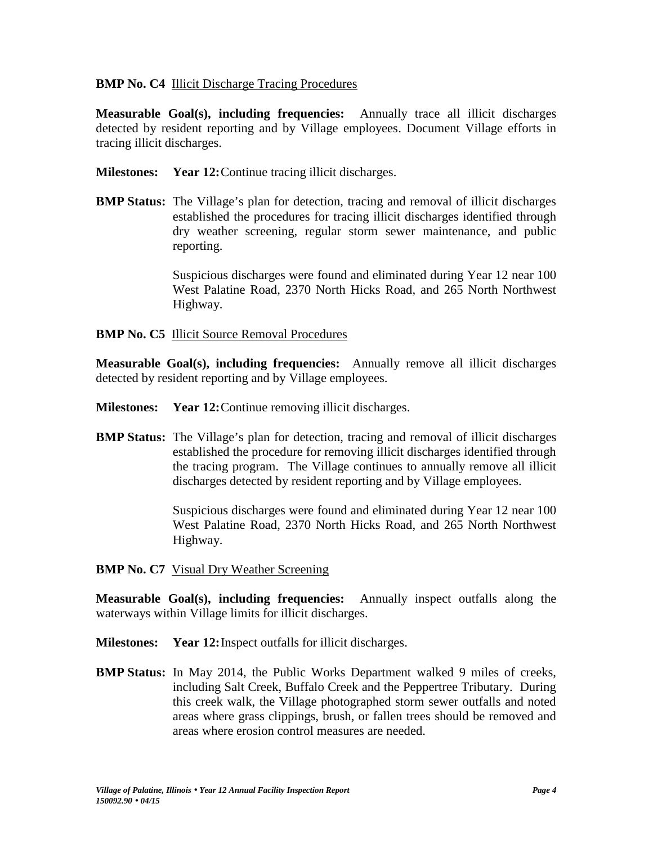# **BMP No. C4** Illicit Discharge Tracing Procedures

**Measurable Goal(s), including frequencies:** Annually trace all illicit discharges detected by resident reporting and by Village employees. Document Village efforts in tracing illicit discharges.

- **Milestones: Year 12:**Continue tracing illicit discharges.
- **BMP Status:** The Village's plan for detection, tracing and removal of illicit discharges established the procedures for tracing illicit discharges identified through dry weather screening, regular storm sewer maintenance, and public reporting.

Suspicious discharges were found and eliminated during Year 12 near 100 West Palatine Road, 2370 North Hicks Road, and 265 North Northwest Highway.

# **BMP No. C5** Illicit Source Removal Procedures

**Measurable Goal(s), including frequencies:** Annually remove all illicit discharges detected by resident reporting and by Village employees.

- **Milestones: Year 12:**Continue removing illicit discharges.
- **BMP Status:** The Village's plan for detection, tracing and removal of illicit discharges established the procedure for removing illicit discharges identified through the tracing program. The Village continues to annually remove all illicit discharges detected by resident reporting and by Village employees.

Suspicious discharges were found and eliminated during Year 12 near 100 West Palatine Road, 2370 North Hicks Road, and 265 North Northwest Highway.

# **BMP No. C7** Visual Dry Weather Screening

**Measurable Goal(s), including frequencies:** Annually inspect outfalls along the waterways within Village limits for illicit discharges.

- **Milestones: Year 12:**Inspect outfalls for illicit discharges.
- **BMP Status:** In May 2014, the Public Works Department walked 9 miles of creeks, including Salt Creek, Buffalo Creek and the Peppertree Tributary. During this creek walk, the Village photographed storm sewer outfalls and noted areas where grass clippings, brush, or fallen trees should be removed and areas where erosion control measures are needed.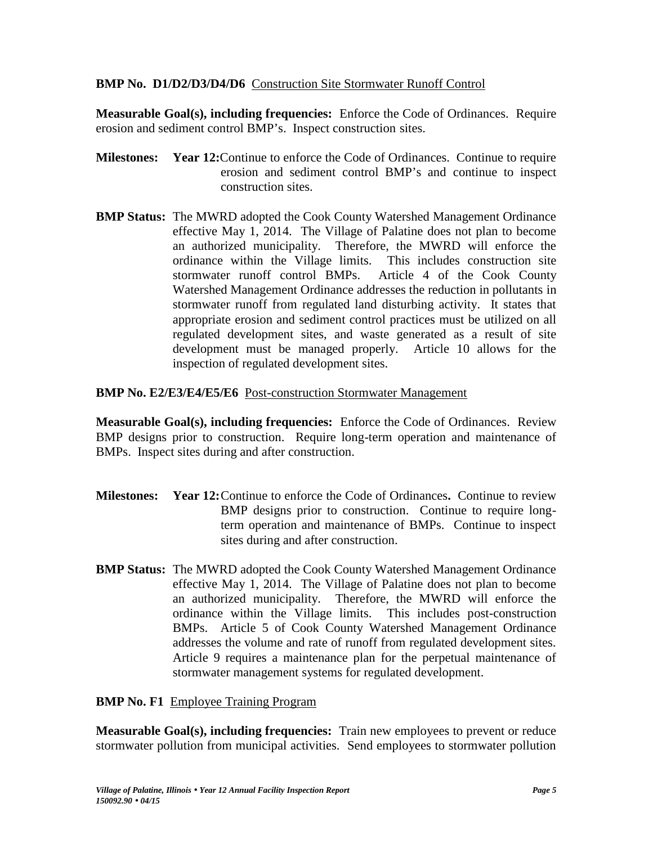# **BMP No. D1/D2/D3/D4/D6** Construction Site Stormwater Runoff Control

**Measurable Goal(s), including frequencies:** Enforce the Code of Ordinances. Require erosion and sediment control BMP's. Inspect construction sites.

- **Milestones: Year 12:**Continue to enforce the Code of Ordinances. Continue to require erosion and sediment control BMP's and continue to inspect construction sites.
- **BMP Status:** The MWRD adopted the Cook County Watershed Management Ordinance effective May 1, 2014. The Village of Palatine does not plan to become an authorized municipality. Therefore, the MWRD will enforce the ordinance within the Village limits. This includes construction site stormwater runoff control BMPs. Article 4 of the Cook County Watershed Management Ordinance addresses the reduction in pollutants in stormwater runoff from regulated land disturbing activity. It states that appropriate erosion and sediment control practices must be utilized on all regulated development sites, and waste generated as a result of site development must be managed properly. Article 10 allows for the inspection of regulated development sites.

# **BMP No. E2/E3/E4/E5/E6** Post-construction Stormwater Management

**Measurable Goal(s), including frequencies:** Enforce the Code of Ordinances. Review BMP designs prior to construction. Require long-term operation and maintenance of BMPs. Inspect sites during and after construction.

- **Milestones: Year 12:**Continue to enforce the Code of Ordinances**.** Continue to review BMP designs prior to construction. Continue to require longterm operation and maintenance of BMPs. Continue to inspect sites during and after construction.
- **BMP Status:** The MWRD adopted the Cook County Watershed Management Ordinance effective May 1, 2014. The Village of Palatine does not plan to become an authorized municipality. Therefore, the MWRD will enforce the ordinance within the Village limits. This includes post-construction BMPs. Article 5 of Cook County Watershed Management Ordinance addresses the volume and rate of runoff from regulated development sites. Article 9 requires a maintenance plan for the perpetual maintenance of stormwater management systems for regulated development.

**BMP No. F1** Employee Training Program

**Measurable Goal(s), including frequencies:** Train new employees to prevent or reduce stormwater pollution from municipal activities. Send employees to stormwater pollution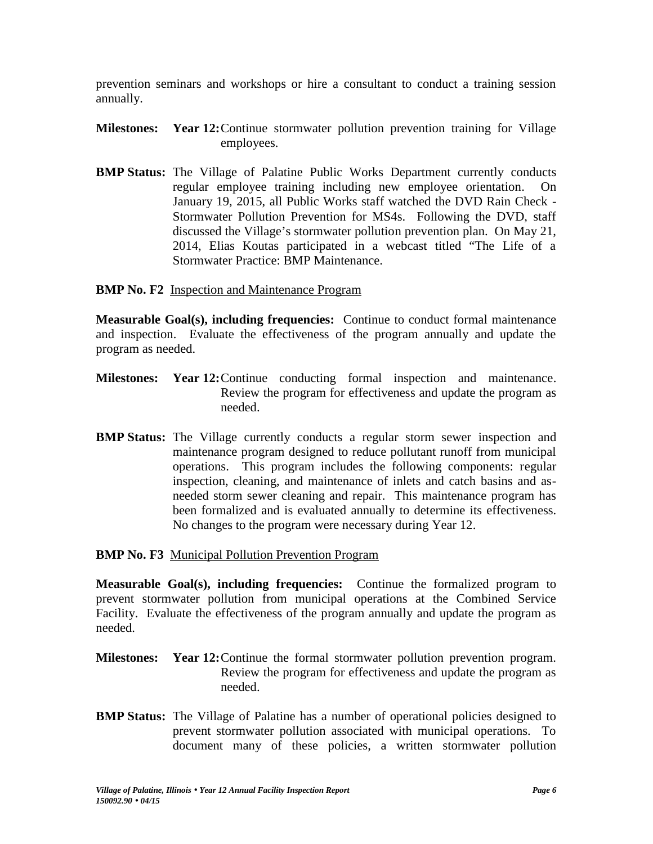prevention seminars and workshops or hire a consultant to conduct a training session annually.

- **Milestones: Year 12:**Continue stormwater pollution prevention training for Village employees.
- **BMP Status:** The Village of Palatine Public Works Department currently conducts regular employee training including new employee orientation. On January 19, 2015, all Public Works staff watched the DVD Rain Check - Stormwater Pollution Prevention for MS4s. Following the DVD, staff discussed the Village's stormwater pollution prevention plan. On May 21, 2014, Elias Koutas participated in a webcast titled "The Life of a Stormwater Practice: BMP Maintenance.

#### **BMP No. F2** Inspection and Maintenance Program

**Measurable Goal(s), including frequencies:** Continue to conduct formal maintenance and inspection. Evaluate the effectiveness of the program annually and update the program as needed.

- **Milestones: Year 12:**Continue conducting formal inspection and maintenance. Review the program for effectiveness and update the program as needed.
- **BMP Status:** The Village currently conducts a regular storm sewer inspection and maintenance program designed to reduce pollutant runoff from municipal operations. This program includes the following components: regular inspection, cleaning, and maintenance of inlets and catch basins and as needed storm sewer cleaning and repair. This maintenance program has been formalized and is evaluated annually to determine its effectiveness. No changes to the program were necessary during Year 12.

#### **BMP No. F3** Municipal Pollution Prevention Program

**Measurable Goal(s), including frequencies:** Continue the formalized program to prevent stormwater pollution from municipal operations at the Combined Service Facility. Evaluate the effectiveness of the program annually and update the program as needed.

- **Milestones: Year 12:**Continue the formal stormwater pollution prevention program. Review the program for effectiveness and update the program as needed.
- **BMP Status:** The Village of Palatine has a number of operational policies designed to prevent stormwater pollution associated with municipal operations. To document many of these policies, a written stormwater pollution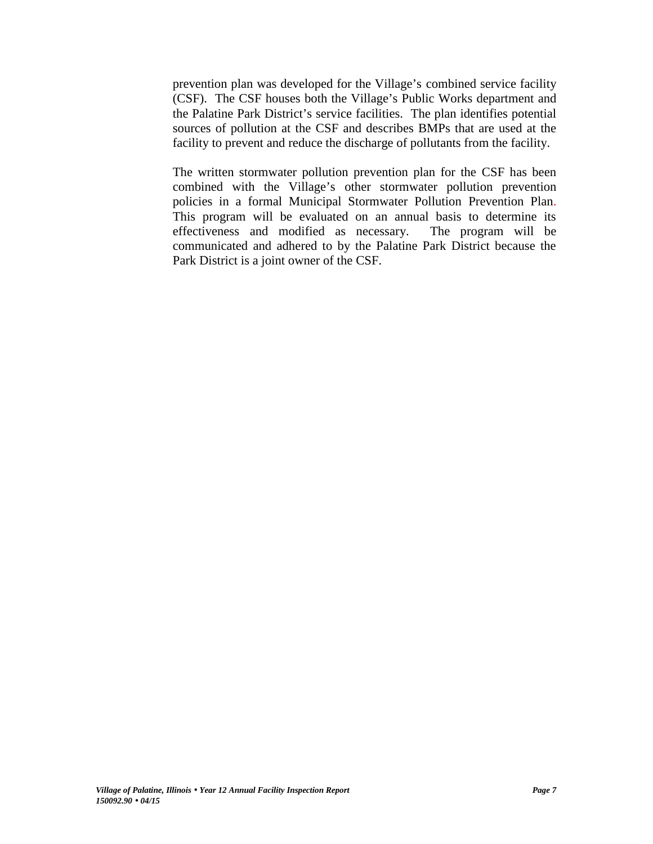prevention plan was developed for the Village's combined service facility (CSF). The CSF houses both the Village's Public Works department and the Palatine Park District's service facilities. The plan identifies potential sources of pollution at the CSF and describes BMPs that are used at the facility to prevent and reduce the discharge of pollutants from the facility.

The written stormwater pollution prevention plan for the CSF has been combined with the Village's other stormwater pollution prevention policies in a formal Municipal Stormwater Pollution Prevention Plan. This program will be evaluated on an annual basis to determine its effectiveness and modified as necessary. The program will be communicated and adhered to by the Palatine Park District because the Park District is a joint owner of the CSF.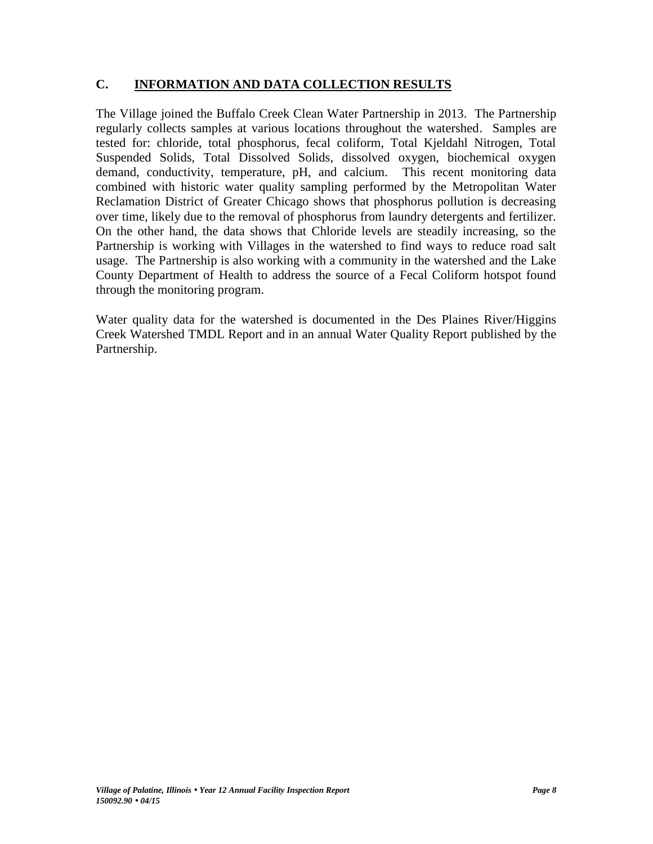# **C. INFORMATION AND DATA COLLECTION RESULTS**

The Village joined the Buffalo Creek Clean Water Partnership in 2013. The Partnership regularly collects samples at various locations throughout the watershed. Samples are tested for: chloride, total phosphorus, fecal coliform, Total Kjeldahl Nitrogen, Total Suspended Solids, Total Dissolved Solids, dissolved oxygen, biochemical oxygen demand, conductivity, temperature, pH, and calcium. This recent monitoring data combined with historic water quality sampling performed by the Metropolitan Water Reclamation District of Greater Chicago shows that phosphorus pollution is decreasing over time, likely due to the removal of phosphorus from laundry detergents and fertilizer. On the other hand, the data shows that Chloride levels are steadily increasing, so the Partnership is working with Villages in the watershed to find ways to reduce road salt usage. The Partnership is also working with a community in the watershed and the Lake County Department of Health to address the source of a Fecal Coliform hotspot found through the monitoring program.

Water quality data for the watershed is documented in the Des Plaines River/Higgins Creek Watershed TMDL Report and in an annual Water Quality Report published by the Partnership.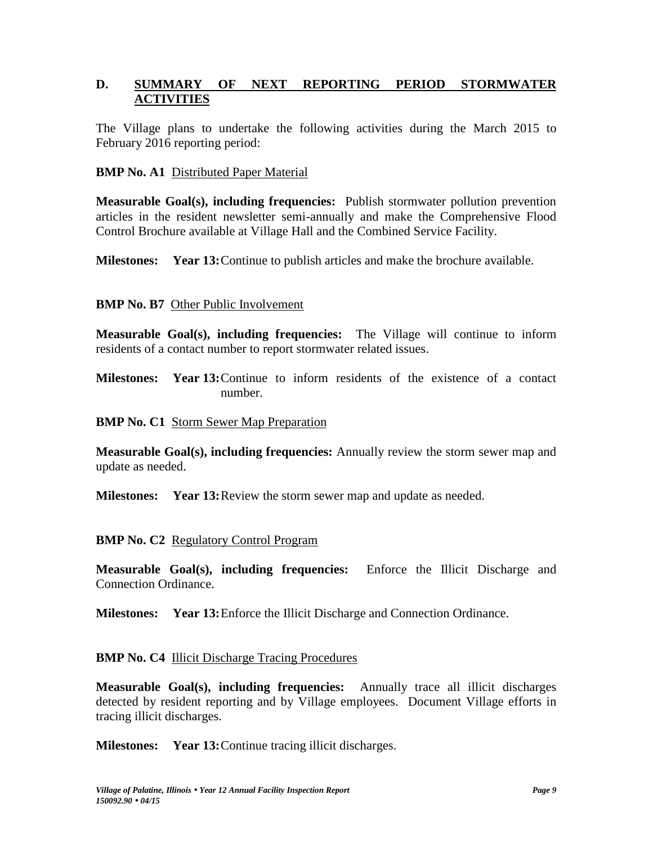# **D. SUMMARY OF NEXT REPORTING PERIOD STORMWATER ACTIVITIES**

The Village plans to undertake the following activities during the March 2015 to February 2016 reporting period:

#### **BMP No. A1** Distributed Paper Material

**Measurable Goal(s), including frequencies:** Publish stormwater pollution prevention articles in the resident newsletter semi-annually and make the Comprehensive Flood Control Brochure available at Village Hall and the Combined Service Facility.

**Milestones: Year 13:**Continue to publish articles and make the brochure available.

# **BMP No. B7** Other Public Involvement

**Measurable Goal(s), including frequencies:** The Village will continue to inform residents of a contact number to report stormwater related issues.

**Milestones: Year 13:**Continue to inform residents of the existence of a contact number.

#### **BMP No. C1** Storm Sewer Map Preparation

**Measurable Goal(s), including frequencies:** Annually review the storm sewer map and update as needed.

**Milestones: Year 13:**Review the storm sewer map and update as needed.

# **BMP No. C2** Regulatory Control Program

**Measurable Goal(s), including frequencies:** Enforce the Illicit Discharge and Connection Ordinance.

**Milestones: Year 13:**Enforce the Illicit Discharge and Connection Ordinance.

#### **BMP No. C4 Illicit Discharge Tracing Procedures**

**Measurable Goal(s), including frequencies:** Annually trace all illicit discharges detected by resident reporting and by Village employees. Document Village efforts in tracing illicit discharges.

**Milestones: Year 13:**Continue tracing illicit discharges.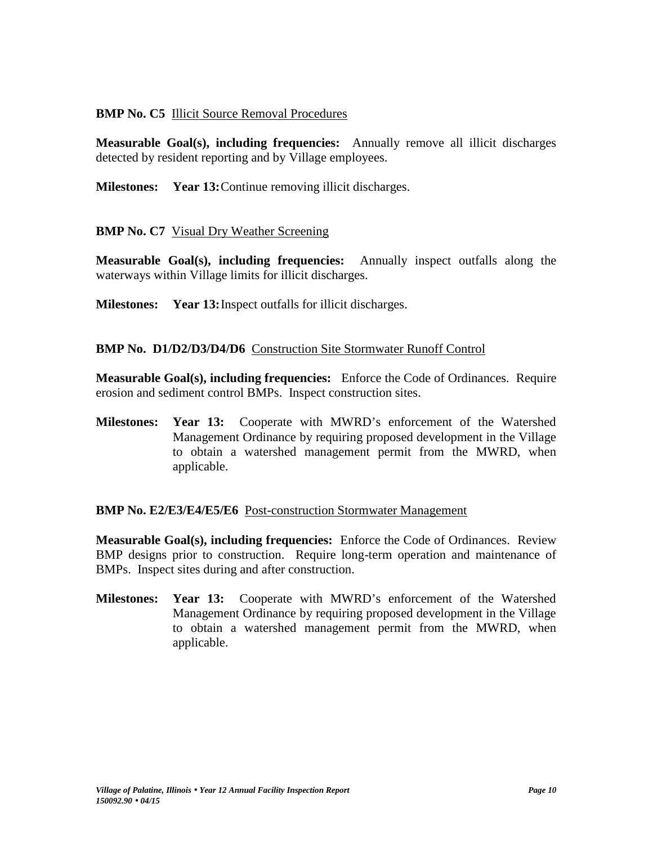# **BMP No. C5** Illicit Source Removal Procedures

**Measurable Goal(s), including frequencies:** Annually remove all illicit discharges detected by resident reporting and by Village employees.

**Milestones: Year 13:**Continue removing illicit discharges.

# **BMP No. C7** Visual Dry Weather Screening

**Measurable Goal(s), including frequencies:** Annually inspect outfalls along the waterways within Village limits for illicit discharges.

**Milestones: Year 13:**Inspect outfalls for illicit discharges.

# **BMP No. D1/D2/D3/D4/D6** Construction Site Stormwater Runoff Control

**Measurable Goal(s), including frequencies:** Enforce the Code of Ordinances. Require erosion and sediment control BMPs. Inspect construction sites.

**Milestones: Year 13:** Cooperate with MWRD's enforcement of the Watershed Management Ordinance by requiring proposed development in the Village to obtain a watershed management permit from the MWRD, when applicable.

# **BMP No. E2/E3/E4/E5/E6** Post-construction Stormwater Management

**Measurable Goal(s), including frequencies:** Enforce the Code of Ordinances. Review BMP designs prior to construction. Require long-term operation and maintenance of BMPs. Inspect sites during and after construction.

**Milestones: Year 13:** Cooperate with MWRD's enforcement of the Watershed Management Ordinance by requiring proposed development in the Village to obtain a watershed management permit from the MWRD, when applicable.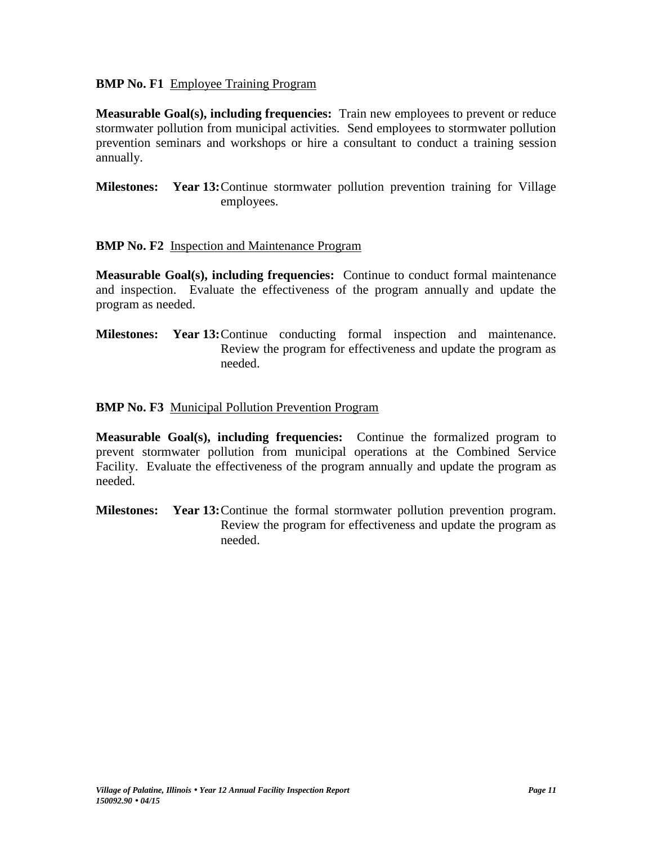#### **BMP No. F1** Employee Training Program

**Measurable Goal(s), including frequencies:** Train new employees to prevent or reduce stormwater pollution from municipal activities. Send employees to stormwater pollution prevention seminars and workshops or hire a consultant to conduct a training session annually.

**Milestones: Year 13:**Continue stormwater pollution prevention training for Village employees.

# **BMP No. F2** Inspection and Maintenance Program

**Measurable Goal(s), including frequencies:** Continue to conduct formal maintenance and inspection. Evaluate the effectiveness of the program annually and update the program as needed.

**Milestones: Year 13:**Continue conducting formal inspection and maintenance. Review the program for effectiveness and update the program as needed.

# **BMP No. F3** Municipal Pollution Prevention Program

**Measurable Goal(s), including frequencies:** Continue the formalized program to prevent stormwater pollution from municipal operations at the Combined Service Facility. Evaluate the effectiveness of the program annually and update the program as needed.

**Milestones: Year 13:**Continue the formal stormwater pollution prevention program. Review the program for effectiveness and update the program as needed.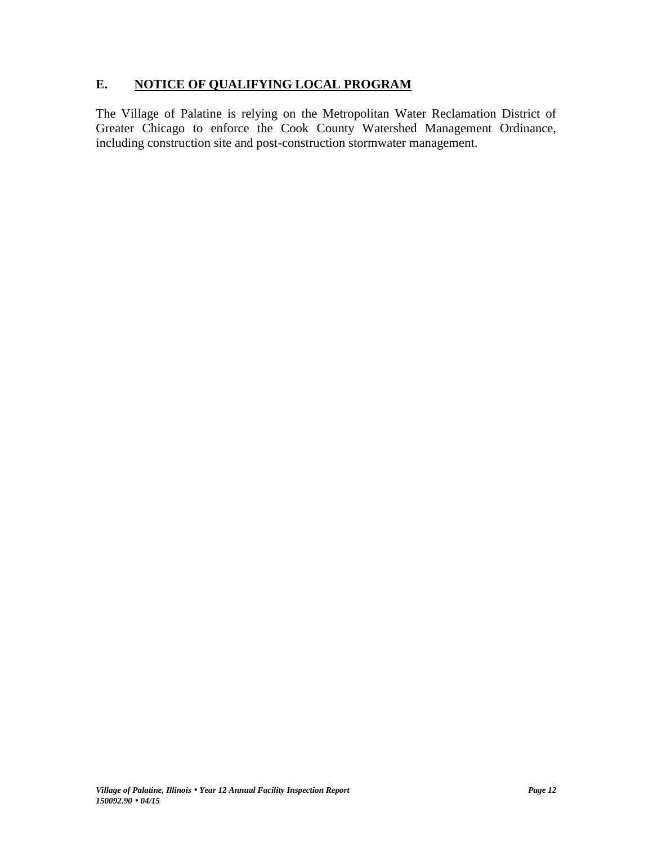# **E. NOTICE OF QUALIFYING LOCAL PROGRAM**

The Village of Palatine is relying on the Metropolitan Water Reclamation District of Greater Chicago to enforce the Cook County Watershed Management Ordinance, including construction site and post-construction stormwater management.